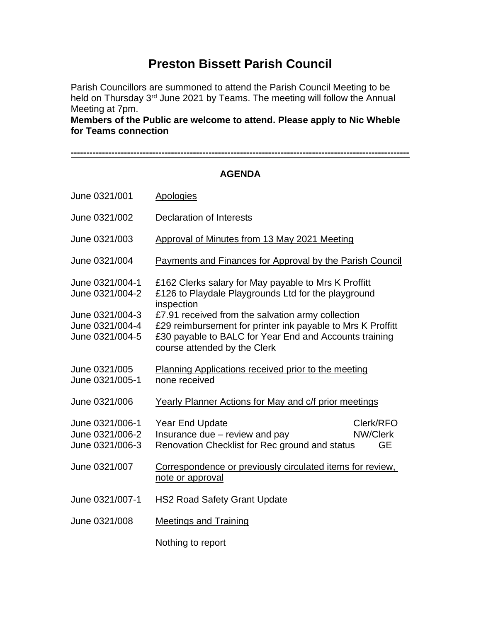## **Preston Bissett Parish Council**

Parish Councillors are summoned to attend the Parish Council Meeting to be held on Thursday 3<sup>rd</sup> June 2021 by Teams. The meeting will follow the Annual Meeting at 7pm.

**Members of the Public are welcome to attend. Please apply to Nic Wheble for Teams connection**

**------------------------------------------------------------------------------------------------------------**

**AGENDA** June 0321/001 Apologies June 0321/002 Declaration of Interests June 0321/003 Approval of Minutes from 13 May 2021 Meeting June 0321/004 Payments and Finances for Approval by the Parish Council June 0321/004-1 £162 Clerks salary for May payable to Mrs K Proffitt June 0321/004-2 £126 to Playdale Playgrounds Ltd for the playground inspection June 0321/004-3 £7.91 received from the salvation army collection June 0321/004-4 £29 reimbursement for printer ink payable to Mrs K Proffitt June 0321/004-5 £30 payable to BALC for Year End and Accounts training course attended by the Clerk June 0321/005 Planning Applications received prior to the meeting June 0321/005-1 none received June 0321/006 Yearly Planner Actions for May and c/f prior meetings June 0321/006-1 Year End Update Clerk/RFO June 0321/006-2 Insurance due – review and pay NW/Clerk June 0321/006-3 Renovation Checklist for Rec ground and status GE June 0321/007 Correspondence or previously circulated items for review, note or approval June 0321/007-1 HS2 Road Safety Grant Update June 0321/008 Meetings and Training Nothing to report